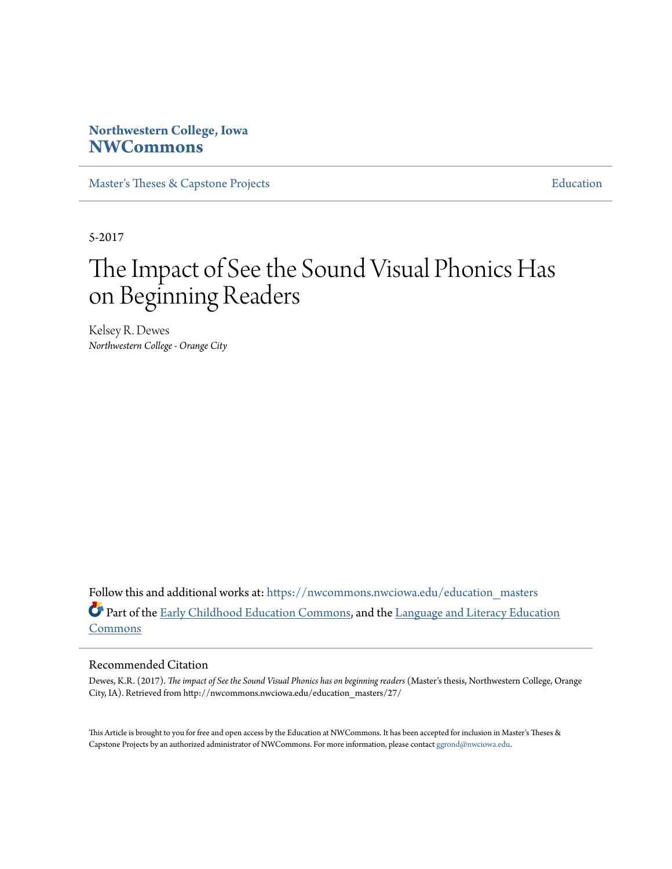# **Northwestern College, Iowa [NWCommons](https://nwcommons.nwciowa.edu?utm_source=nwcommons.nwciowa.edu%2Feducation_masters%2F27&utm_medium=PDF&utm_campaign=PDFCoverPages)**

[Master's Theses & Capstone Projects](https://nwcommons.nwciowa.edu/education_masters?utm_source=nwcommons.nwciowa.edu%2Feducation_masters%2F27&utm_medium=PDF&utm_campaign=PDFCoverPages) **[Education](https://nwcommons.nwciowa.edu/education?utm_source=nwcommons.nwciowa.edu%2Feducation_masters%2F27&utm_medium=PDF&utm_campaign=PDFCoverPages)** 

5-2017

# The Impact of See the Sound Visual Phonics Has on Beginning Readers

Kelsey R. Dewes *Northwestern College - Orange City*

Follow this and additional works at: [https://nwcommons.nwciowa.edu/education\\_masters](https://nwcommons.nwciowa.edu/education_masters?utm_source=nwcommons.nwciowa.edu%2Feducation_masters%2F27&utm_medium=PDF&utm_campaign=PDFCoverPages) Part of the [Early Childhood Education Commons,](http://network.bepress.com/hgg/discipline/1377?utm_source=nwcommons.nwciowa.edu%2Feducation_masters%2F27&utm_medium=PDF&utm_campaign=PDFCoverPages) and the [Language and Literacy Education](http://network.bepress.com/hgg/discipline/1380?utm_source=nwcommons.nwciowa.edu%2Feducation_masters%2F27&utm_medium=PDF&utm_campaign=PDFCoverPages) [Commons](http://network.bepress.com/hgg/discipline/1380?utm_source=nwcommons.nwciowa.edu%2Feducation_masters%2F27&utm_medium=PDF&utm_campaign=PDFCoverPages)

#### Recommended Citation

Dewes, K.R. (2017). *The impact of See the Sound Visual Phonics has on beginning readers* (Master's thesis, Northwestern College, Orange City, IA). Retrieved from http://nwcommons.nwciowa.edu/education\_masters/27/

This Article is brought to you for free and open access by the Education at NWCommons. It has been accepted for inclusion in Master's Theses & Capstone Projects by an authorized administrator of NWCommons. For more information, please contact [ggrond@nwciowa.edu.](mailto:ggrond@nwciowa.edu)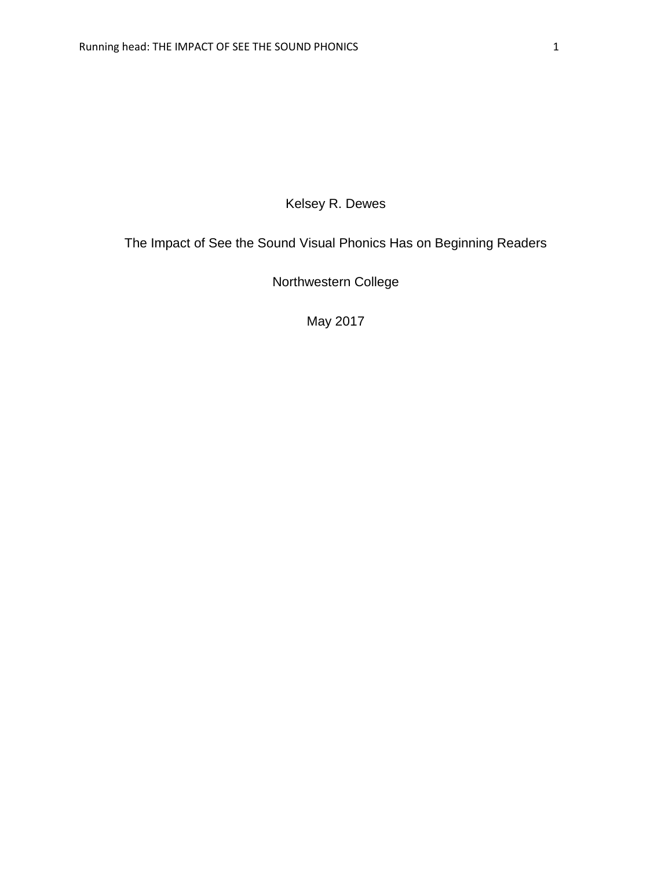# Kelsey R. Dewes

# The Impact of See the Sound Visual Phonics Has on Beginning Readers

Northwestern College

May 2017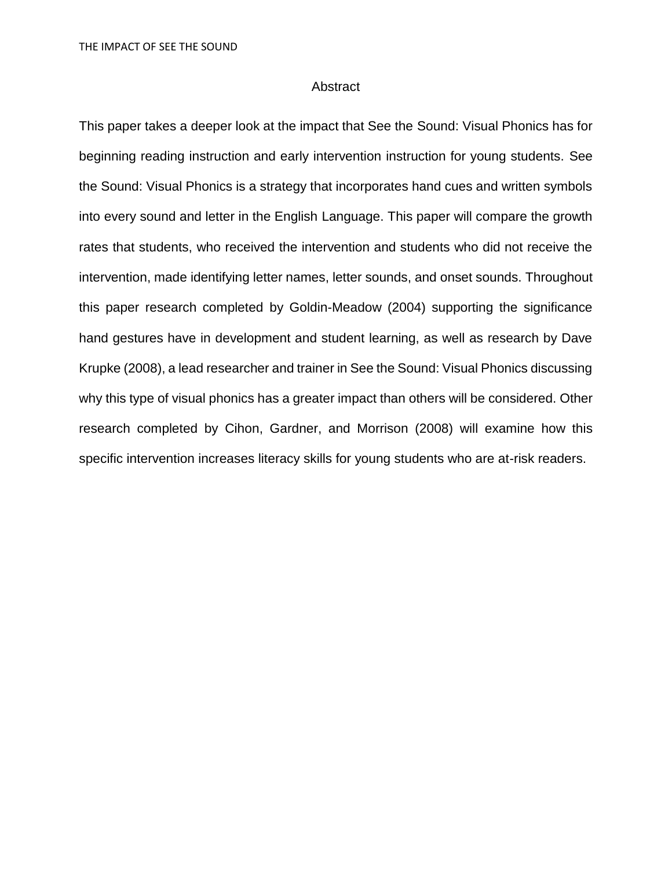#### Abstract

This paper takes a deeper look at the impact that See the Sound: Visual Phonics has for beginning reading instruction and early intervention instruction for young students. See the Sound: Visual Phonics is a strategy that incorporates hand cues and written symbols into every sound and letter in the English Language. This paper will compare the growth rates that students, who received the intervention and students who did not receive the intervention, made identifying letter names, letter sounds, and onset sounds. Throughout this paper research completed by Goldin-Meadow (2004) supporting the significance hand gestures have in development and student learning, as well as research by Dave Krupke (2008), a lead researcher and trainer in See the Sound: Visual Phonics discussing why this type of visual phonics has a greater impact than others will be considered. Other research completed by Cihon, Gardner, and Morrison (2008) will examine how this specific intervention increases literacy skills for young students who are at-risk readers.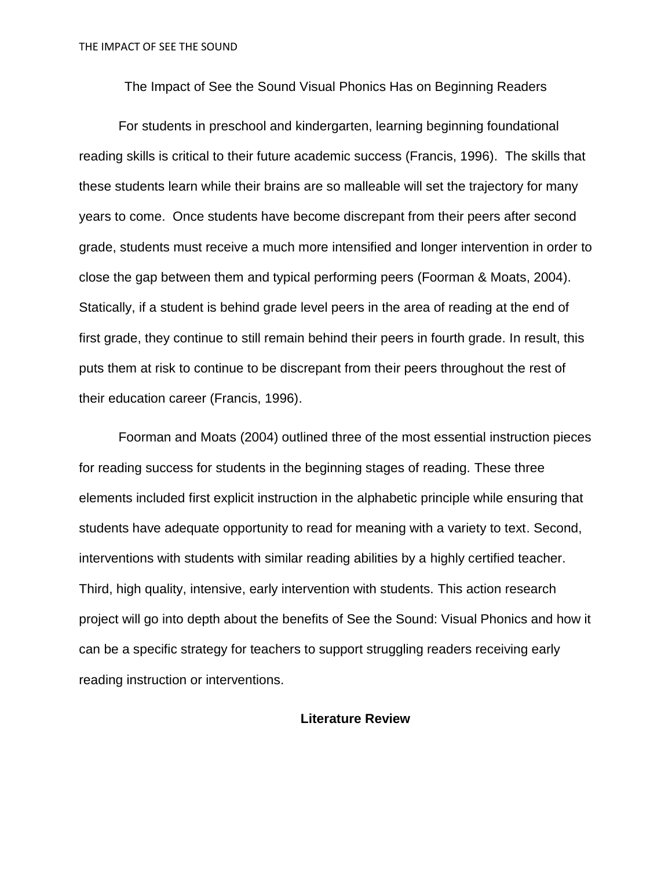The Impact of See the Sound Visual Phonics Has on Beginning Readers

For students in preschool and kindergarten, learning beginning foundational reading skills is critical to their future academic success (Francis, 1996). The skills that these students learn while their brains are so malleable will set the trajectory for many years to come. Once students have become discrepant from their peers after second grade, students must receive a much more intensified and longer intervention in order to close the gap between them and typical performing peers (Foorman & Moats, 2004). Statically, if a student is behind grade level peers in the area of reading at the end of first grade, they continue to still remain behind their peers in fourth grade. In result, this puts them at risk to continue to be discrepant from their peers throughout the rest of their education career (Francis, 1996).

Foorman and Moats (2004) outlined three of the most essential instruction pieces for reading success for students in the beginning stages of reading. These three elements included first explicit instruction in the alphabetic principle while ensuring that students have adequate opportunity to read for meaning with a variety to text. Second, interventions with students with similar reading abilities by a highly certified teacher. Third, high quality, intensive, early intervention with students. This action research project will go into depth about the benefits of See the Sound: Visual Phonics and how it can be a specific strategy for teachers to support struggling readers receiving early reading instruction or interventions.

#### **Literature Review**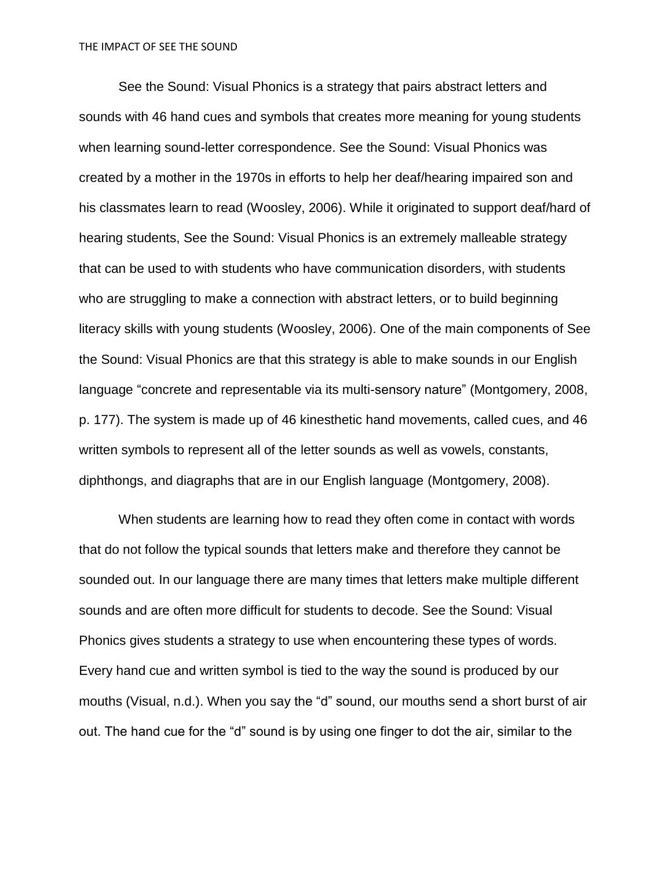See the Sound: Visual Phonics is a strategy that pairs abstract letters and sounds with 46 hand cues and symbols that creates more meaning for young students when learning sound-letter correspondence. See the Sound: Visual Phonics was created by a mother in the 1970s in efforts to help her deaf/hearing impaired son and his classmates learn to read (Woosley, 2006). While it originated to support deaf/hard of hearing students, See the Sound: Visual Phonics is an extremely malleable strategy that can be used to with students who have communication disorders, with students who are struggling to make a connection with abstract letters, or to build beginning literacy skills with young students (Woosley, 2006). One of the main components of See the Sound: Visual Phonics are that this strategy is able to make sounds in our English language "concrete and representable via its multi-sensory nature" (Montgomery, 2008, p. 177). The system is made up of 46 kinesthetic hand movements, called cues, and 46 written symbols to represent all of the letter sounds as well as vowels, constants, diphthongs, and diagraphs that are in our English language (Montgomery, 2008).

When students are learning how to read they often come in contact with words that do not follow the typical sounds that letters make and therefore they cannot be sounded out. In our language there are many times that letters make multiple different sounds and are often more difficult for students to decode. See the Sound: Visual Phonics gives students a strategy to use when encountering these types of words. Every hand cue and written symbol is tied to the way the sound is produced by our mouths (Visual, n.d.). When you say the "d" sound, our mouths send a short burst of air out. The hand cue for the "d" sound is by using one finger to dot the air, similar to the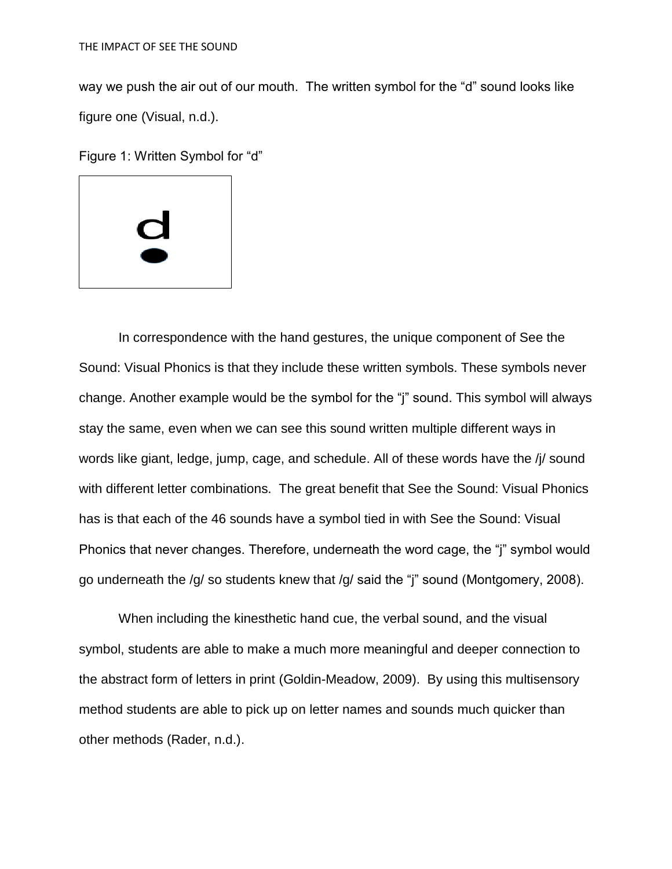way we push the air out of our mouth. The written symbol for the "d" sound looks like figure one (Visual, n.d.).

Figure 1: Written Symbol for "d"



In correspondence with the hand gestures, the unique component of See the Sound: Visual Phonics is that they include these written symbols. These symbols never change. Another example would be the symbol for the "j" sound. This symbol will always stay the same, even when we can see this sound written multiple different ways in words like giant, ledge, jump, cage, and schedule. All of these words have the /j/ sound with different letter combinations. The great benefit that See the Sound: Visual Phonics has is that each of the 46 sounds have a symbol tied in with See the Sound: Visual Phonics that never changes. Therefore, underneath the word cage, the "j" symbol would go underneath the /g/ so students knew that /g/ said the "j" sound (Montgomery, 2008).

When including the kinesthetic hand cue, the verbal sound, and the visual symbol, students are able to make a much more meaningful and deeper connection to the abstract form of letters in print (Goldin-Meadow, 2009). By using this multisensory method students are able to pick up on letter names and sounds much quicker than other methods (Rader, n.d.).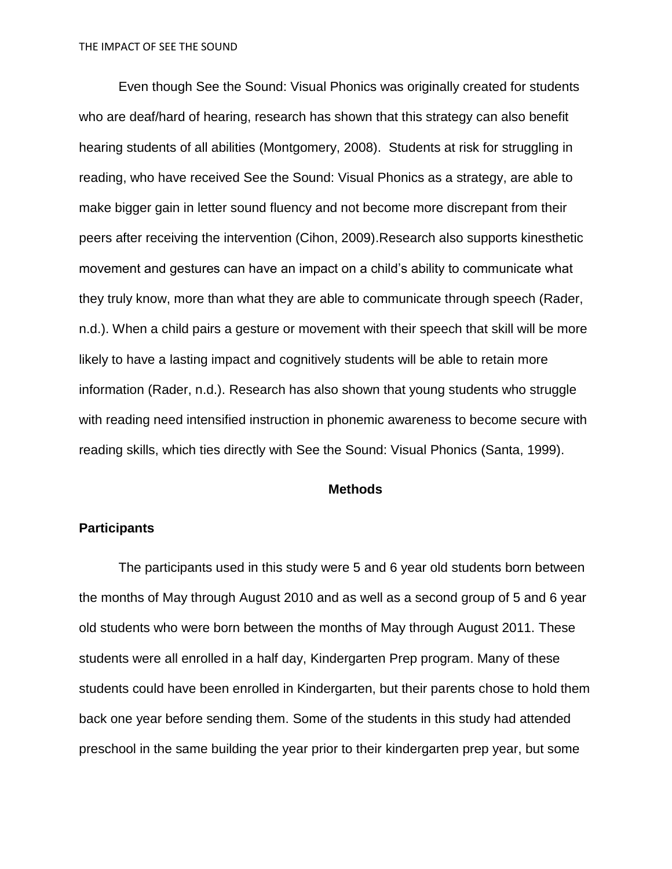Even though See the Sound: Visual Phonics was originally created for students who are deaf/hard of hearing, research has shown that this strategy can also benefit hearing students of all abilities (Montgomery, 2008). Students at risk for struggling in reading, who have received See the Sound: Visual Phonics as a strategy, are able to make bigger gain in letter sound fluency and not become more discrepant from their peers after receiving the intervention (Cihon, 2009).Research also supports kinesthetic movement and gestures can have an impact on a child's ability to communicate what they truly know, more than what they are able to communicate through speech (Rader, n.d.). When a child pairs a gesture or movement with their speech that skill will be more likely to have a lasting impact and cognitively students will be able to retain more information (Rader, n.d.). Research has also shown that young students who struggle with reading need intensified instruction in phonemic awareness to become secure with reading skills, which ties directly with See the Sound: Visual Phonics (Santa, 1999).

#### **Methods**

#### **Participants**

The participants used in this study were 5 and 6 year old students born between the months of May through August 2010 and as well as a second group of 5 and 6 year old students who were born between the months of May through August 2011. These students were all enrolled in a half day, Kindergarten Prep program. Many of these students could have been enrolled in Kindergarten, but their parents chose to hold them back one year before sending them. Some of the students in this study had attended preschool in the same building the year prior to their kindergarten prep year, but some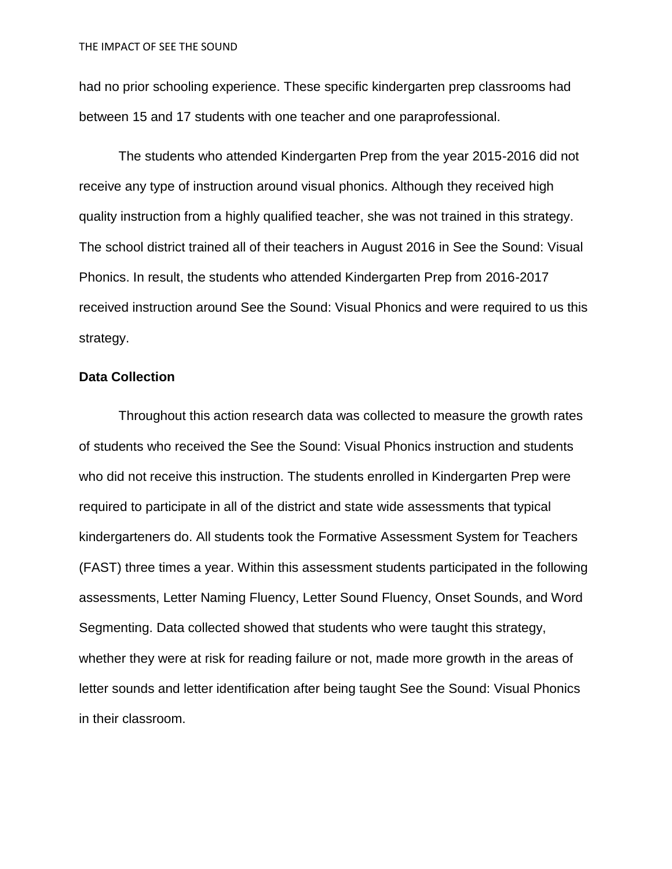had no prior schooling experience. These specific kindergarten prep classrooms had between 15 and 17 students with one teacher and one paraprofessional.

The students who attended Kindergarten Prep from the year 2015-2016 did not receive any type of instruction around visual phonics. Although they received high quality instruction from a highly qualified teacher, she was not trained in this strategy. The school district trained all of their teachers in August 2016 in See the Sound: Visual Phonics. In result, the students who attended Kindergarten Prep from 2016-2017 received instruction around See the Sound: Visual Phonics and were required to us this strategy.

#### **Data Collection**

Throughout this action research data was collected to measure the growth rates of students who received the See the Sound: Visual Phonics instruction and students who did not receive this instruction. The students enrolled in Kindergarten Prep were required to participate in all of the district and state wide assessments that typical kindergarteners do. All students took the [Formative Assessment System for Teachers](http://www.fastforteachers.info/#%21assessments/c1enr)  [\(FAST\)](http://www.fastforteachers.info/#%21assessments/c1enr) three times a year. Within this assessment students participated in the following assessments, Letter Naming Fluency, Letter Sound Fluency, Onset Sounds, and Word Segmenting. Data collected showed that students who were taught this strategy, whether they were at risk for reading failure or not, made more growth in the areas of letter sounds and letter identification after being taught See the Sound: Visual Phonics in their classroom.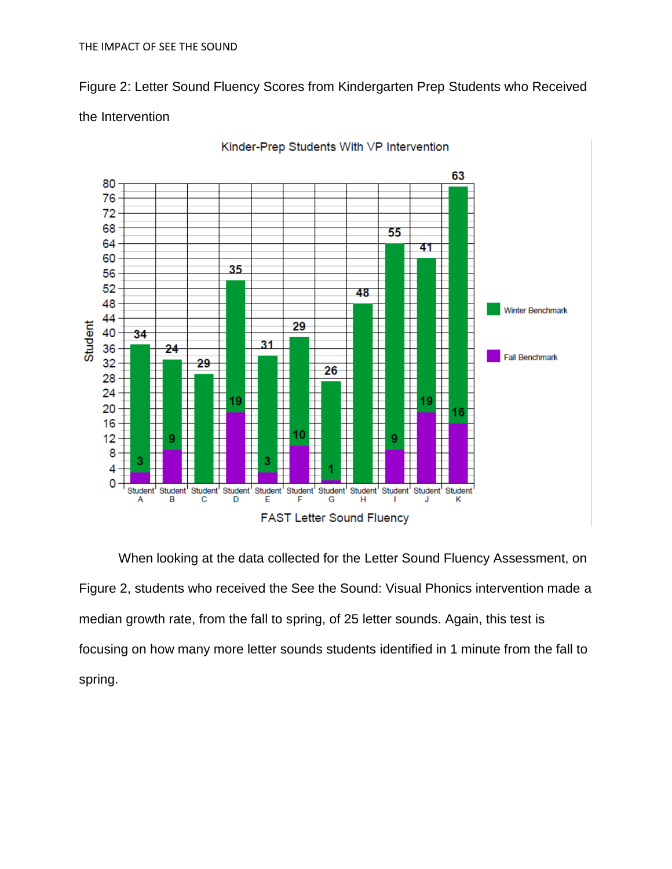Figure 2: Letter Sound Fluency Scores from Kindergarten Prep Students who Received

# the Intervention



Kinder-Prep Students With VP Intervention

When looking at the data collected for the Letter Sound Fluency Assessment, on Figure 2, students who received the See the Sound: Visual Phonics intervention made a median growth rate, from the fall to spring, of 25 letter sounds. Again, this test is focusing on how many more letter sounds students identified in 1 minute from the fall to spring.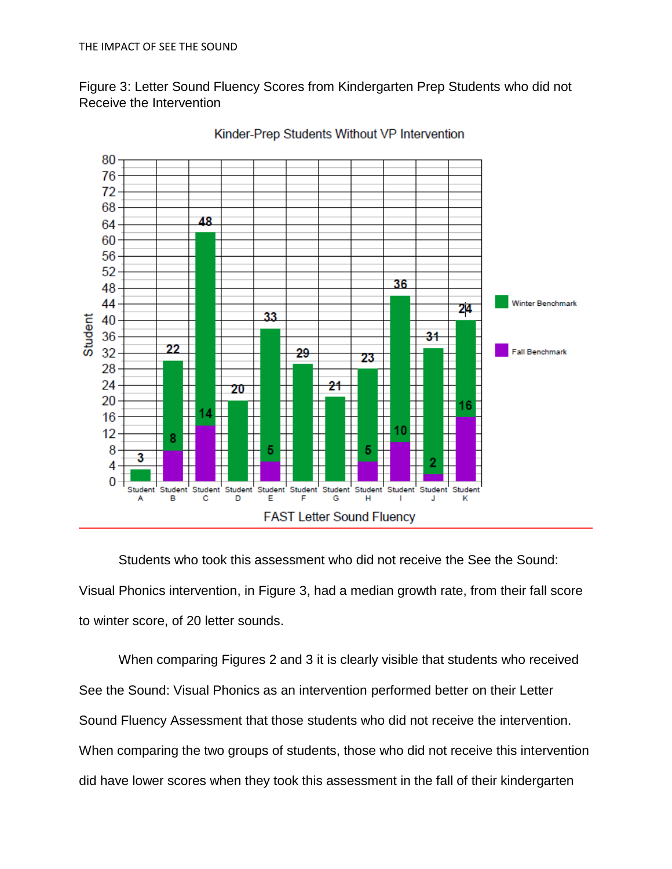Figure 3: Letter Sound Fluency Scores from Kindergarten Prep Students who did not Receive the Intervention



Kinder-Prep Students Without VP Intervention

Students who took this assessment who did not receive the See the Sound: Visual Phonics intervention, in Figure 3, had a median growth rate, from their fall score to winter score, of 20 letter sounds.

When comparing Figures 2 and 3 it is clearly visible that students who received See the Sound: Visual Phonics as an intervention performed better on their Letter Sound Fluency Assessment that those students who did not receive the intervention. When comparing the two groups of students, those who did not receive this intervention did have lower scores when they took this assessment in the fall of their kindergarten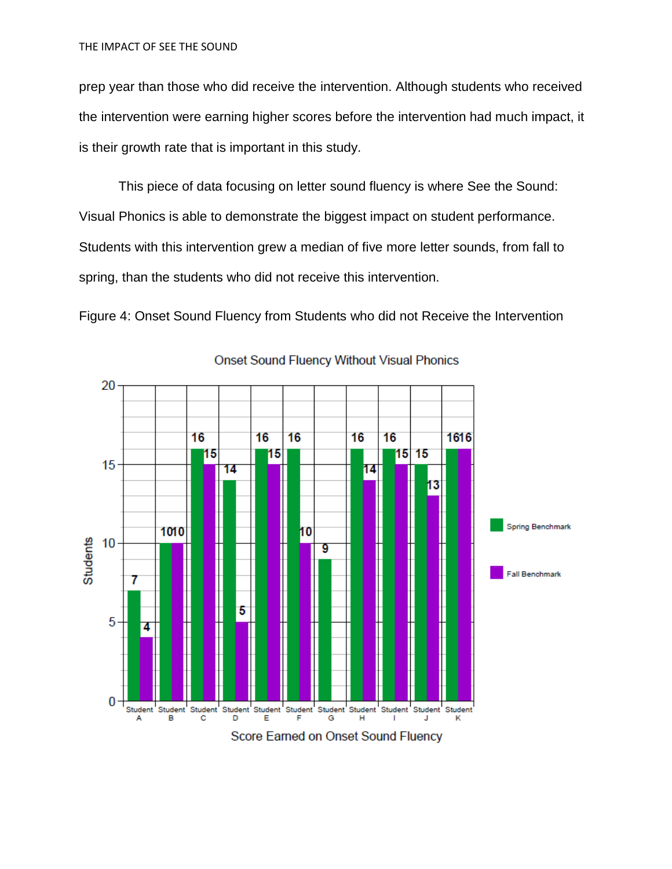prep year than those who did receive the intervention. Although students who received the intervention were earning higher scores before the intervention had much impact, it is their growth rate that is important in this study.

This piece of data focusing on letter sound fluency is where See the Sound: Visual Phonics is able to demonstrate the biggest impact on student performance. Students with this intervention grew a median of five more letter sounds, from fall to spring, than the students who did not receive this intervention.

Figure 4: Onset Sound Fluency from Students who did not Receive the Intervention



**Onset Sound Fluency Without Visual Phonics**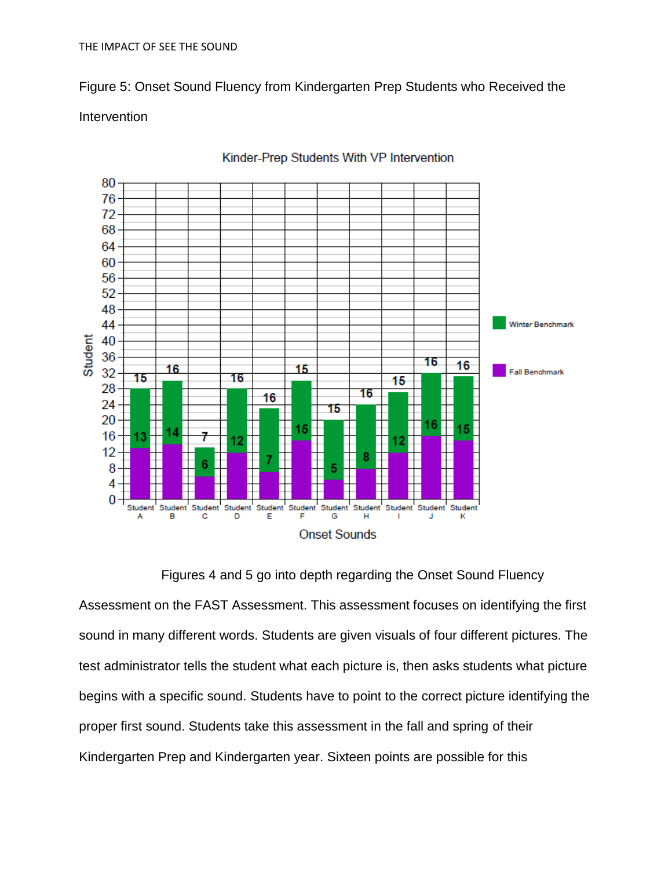Figure 5: Onset Sound Fluency from Kindergarten Prep Students who Received the

### Intervention



Kinder-Prep Students With VP Intervention

Figures 4 and 5 go into depth regarding the Onset Sound Fluency Assessment on the FAST Assessment. This assessment focuses on identifying the first sound in many different words. Students are given visuals of four different pictures. The test administrator tells the student what each picture is, then asks students what picture begins with a specific sound. Students have to point to the correct picture identifying the proper first sound. Students take this assessment in the fall and spring of their Kindergarten Prep and Kindergarten year. Sixteen points are possible for this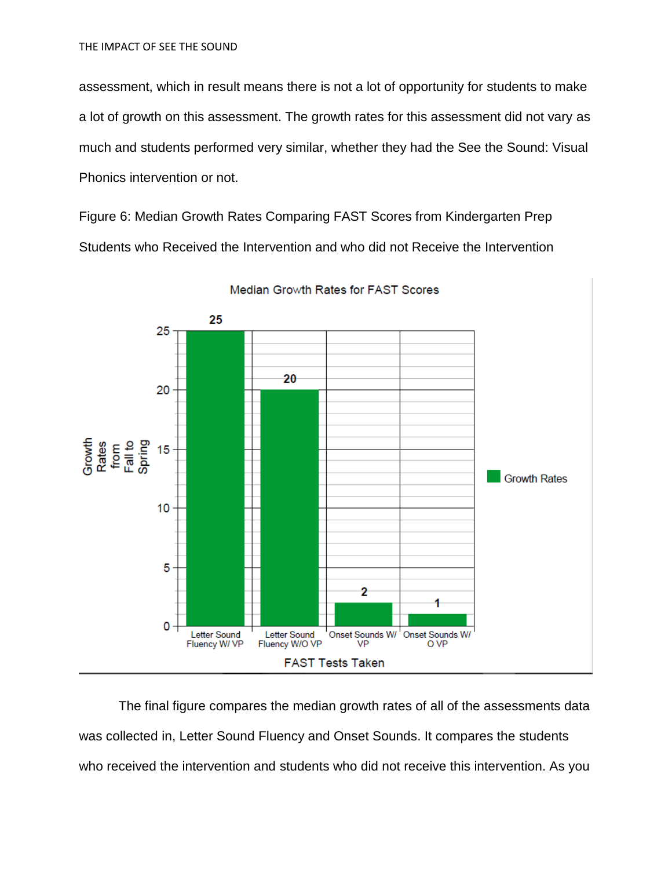assessment, which in result means there is not a lot of opportunity for students to make a lot of growth on this assessment. The growth rates for this assessment did not vary as much and students performed very similar, whether they had the See the Sound: Visual Phonics intervention or not.

Figure 6: Median Growth Rates Comparing FAST Scores from Kindergarten Prep Students who Received the Intervention and who did not Receive the Intervention



Median Growth Rates for FAST Scores

The final figure compares the median growth rates of all of the assessments data was collected in, Letter Sound Fluency and Onset Sounds. It compares the students who received the intervention and students who did not receive this intervention. As you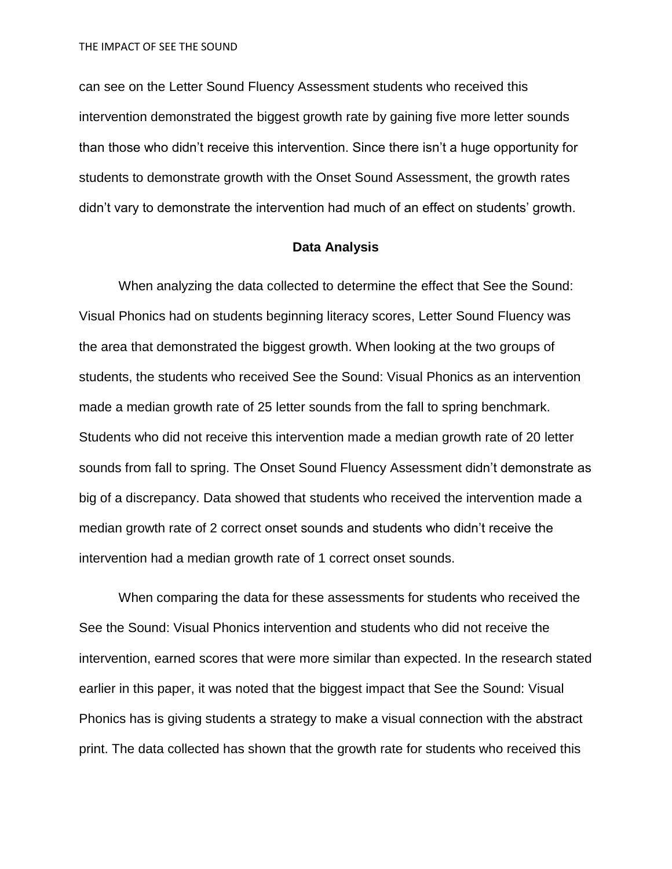THE IMPACT OF SEE THE SOUND

can see on the Letter Sound Fluency Assessment students who received this intervention demonstrated the biggest growth rate by gaining five more letter sounds than those who didn't receive this intervention. Since there isn't a huge opportunity for students to demonstrate growth with the Onset Sound Assessment, the growth rates didn't vary to demonstrate the intervention had much of an effect on students' growth.

#### **Data Analysis**

When analyzing the data collected to determine the effect that See the Sound: Visual Phonics had on students beginning literacy scores, Letter Sound Fluency was the area that demonstrated the biggest growth. When looking at the two groups of students, the students who received See the Sound: Visual Phonics as an intervention made a median growth rate of 25 letter sounds from the fall to spring benchmark. Students who did not receive this intervention made a median growth rate of 20 letter sounds from fall to spring. The Onset Sound Fluency Assessment didn't demonstrate as big of a discrepancy. Data showed that students who received the intervention made a median growth rate of 2 correct onset sounds and students who didn't receive the intervention had a median growth rate of 1 correct onset sounds.

When comparing the data for these assessments for students who received the See the Sound: Visual Phonics intervention and students who did not receive the intervention, earned scores that were more similar than expected. In the research stated earlier in this paper, it was noted that the biggest impact that See the Sound: Visual Phonics has is giving students a strategy to make a visual connection with the abstract print. The data collected has shown that the growth rate for students who received this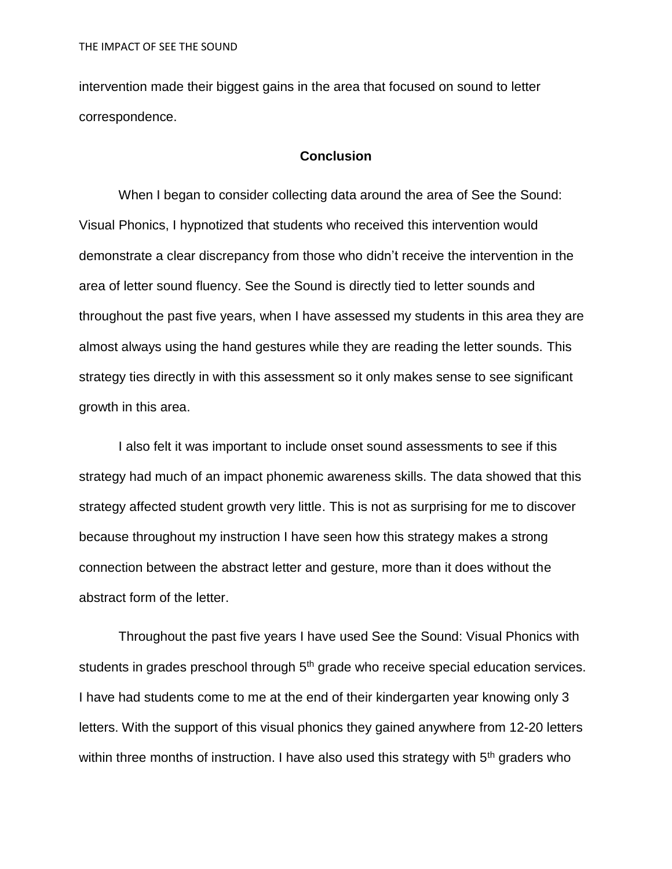intervention made their biggest gains in the area that focused on sound to letter correspondence.

#### **Conclusion**

When I began to consider collecting data around the area of See the Sound: Visual Phonics, I hypnotized that students who received this intervention would demonstrate a clear discrepancy from those who didn't receive the intervention in the area of letter sound fluency. See the Sound is directly tied to letter sounds and throughout the past five years, when I have assessed my students in this area they are almost always using the hand gestures while they are reading the letter sounds. This strategy ties directly in with this assessment so it only makes sense to see significant growth in this area.

I also felt it was important to include onset sound assessments to see if this strategy had much of an impact phonemic awareness skills. The data showed that this strategy affected student growth very little. This is not as surprising for me to discover because throughout my instruction I have seen how this strategy makes a strong connection between the abstract letter and gesture, more than it does without the abstract form of the letter.

Throughout the past five years I have used See the Sound: Visual Phonics with students in grades preschool through 5<sup>th</sup> grade who receive special education services. I have had students come to me at the end of their kindergarten year knowing only 3 letters. With the support of this visual phonics they gained anywhere from 12-20 letters within three months of instruction. I have also used this strategy with  $5<sup>th</sup>$  graders who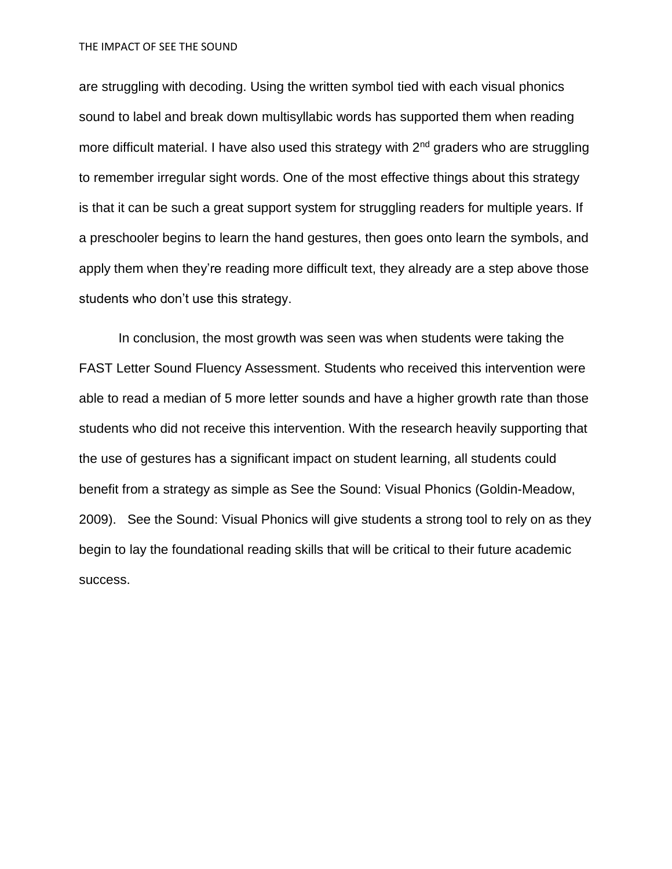THE IMPACT OF SEE THE SOUND

are struggling with decoding. Using the written symbol tied with each visual phonics sound to label and break down multisyllabic words has supported them when reading more difficult material. I have also used this strategy with 2<sup>nd</sup> graders who are struggling to remember irregular sight words. One of the most effective things about this strategy is that it can be such a great support system for struggling readers for multiple years. If a preschooler begins to learn the hand gestures, then goes onto learn the symbols, and apply them when they're reading more difficult text, they already are a step above those students who don't use this strategy.

In conclusion, the most growth was seen was when students were taking the FAST Letter Sound Fluency Assessment. Students who received this intervention were able to read a median of 5 more letter sounds and have a higher growth rate than those students who did not receive this intervention. With the research heavily supporting that the use of gestures has a significant impact on student learning, all students could benefit from a strategy as simple as See the Sound: Visual Phonics (Goldin-Meadow, 2009). See the Sound: Visual Phonics will give students a strong tool to rely on as they begin to lay the foundational reading skills that will be critical to their future academic success.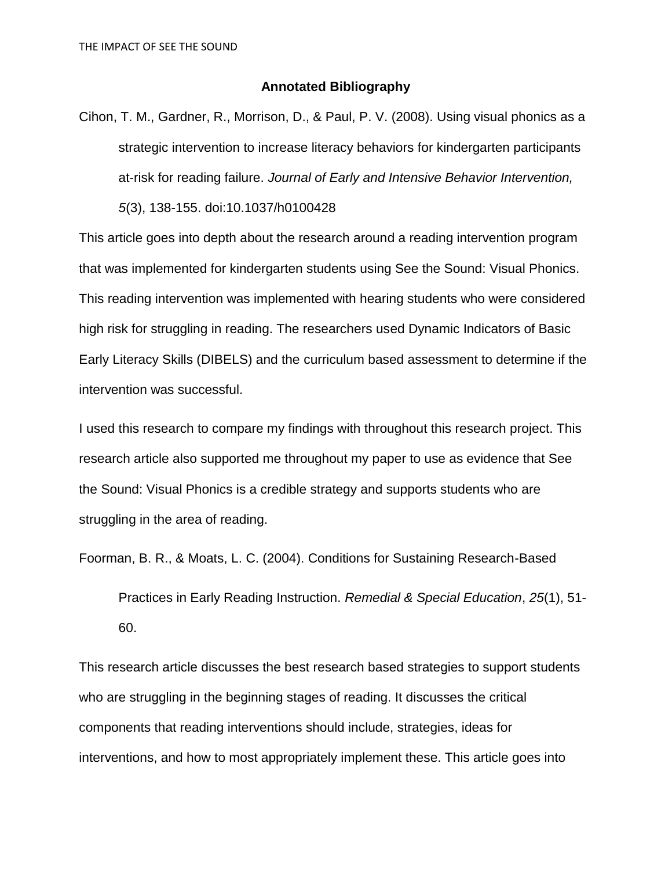#### **Annotated Bibliography**

Cihon, T. M., Gardner, R., Morrison, D., & Paul, P. V. (2008). Using visual phonics as a strategic intervention to increase literacy behaviors for kindergarten participants at-risk for reading failure. *Journal of Early and Intensive Behavior Intervention, 5*(3), 138-155. doi:10.1037/h0100428

This article goes into depth about the research around a reading intervention program that was implemented for kindergarten students using See the Sound: Visual Phonics. This reading intervention was implemented with hearing students who were considered high risk for struggling in reading. The researchers used Dynamic Indicators of Basic Early Literacy Skills (DIBELS) and the curriculum based assessment to determine if the intervention was successful.

I used this research to compare my findings with throughout this research project. This research article also supported me throughout my paper to use as evidence that See the Sound: Visual Phonics is a credible strategy and supports students who are struggling in the area of reading.

Foorman, B. R., & Moats, L. C. (2004). Conditions for Sustaining Research-Based

Practices in Early Reading Instruction. *Remedial & Special Education*, *25*(1), 51- 60.

This research article discusses the best research based strategies to support students who are struggling in the beginning stages of reading. It discusses the critical components that reading interventions should include, strategies, ideas for interventions, and how to most appropriately implement these. This article goes into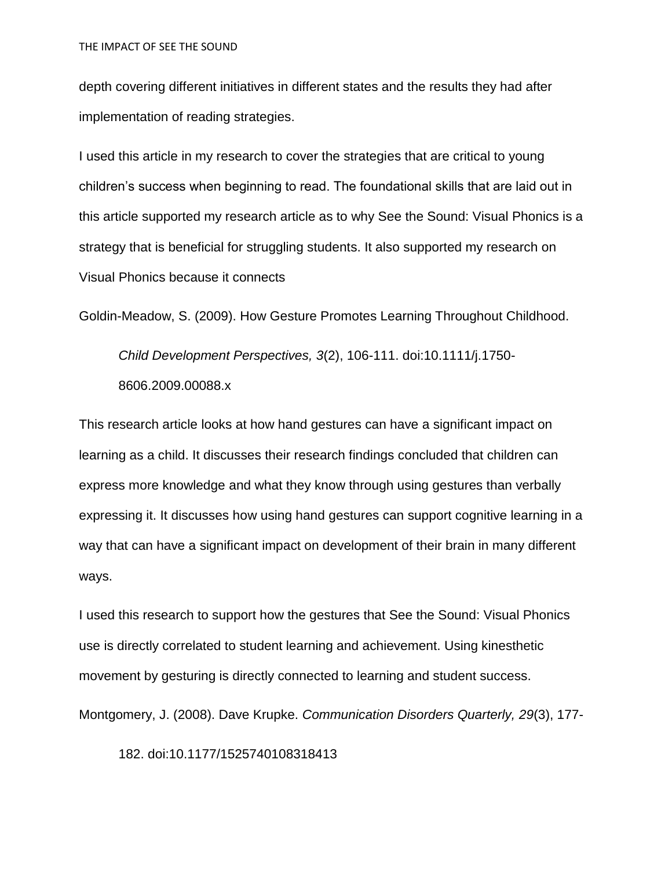depth covering different initiatives in different states and the results they had after implementation of reading strategies.

I used this article in my research to cover the strategies that are critical to young children's success when beginning to read. The foundational skills that are laid out in this article supported my research article as to why See the Sound: Visual Phonics is a strategy that is beneficial for struggling students. It also supported my research on Visual Phonics because it connects

Goldin-Meadow, S. (2009). How Gesture Promotes Learning Throughout Childhood.

*Child Development Perspectives, 3*(2), 106-111. doi:10.1111/j.1750- 8606.2009.00088.x

This research article looks at how hand gestures can have a significant impact on learning as a child. It discusses their research findings concluded that children can express more knowledge and what they know through using gestures than verbally expressing it. It discusses how using hand gestures can support cognitive learning in a way that can have a significant impact on development of their brain in many different ways.

I used this research to support how the gestures that See the Sound: Visual Phonics use is directly correlated to student learning and achievement. Using kinesthetic movement by gesturing is directly connected to learning and student success.

Montgomery, J. (2008). Dave Krupke. *Communication Disorders Quarterly, 29*(3), 177-

182. doi:10.1177/1525740108318413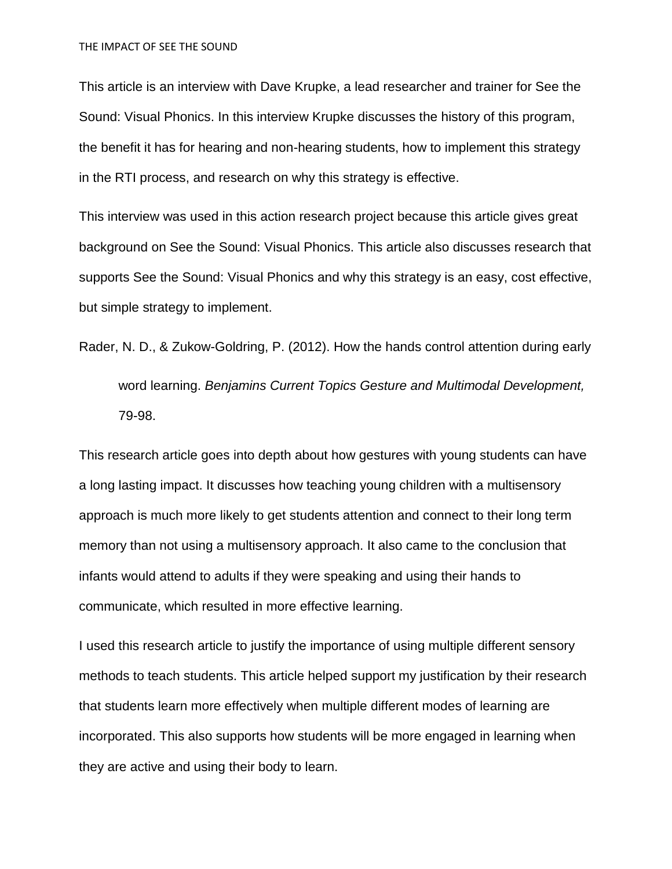This article is an interview with Dave Krupke, a lead researcher and trainer for See the Sound: Visual Phonics. In this interview Krupke discusses the history of this program, the benefit it has for hearing and non-hearing students, how to implement this strategy in the RTI process, and research on why this strategy is effective.

This interview was used in this action research project because this article gives great background on See the Sound: Visual Phonics. This article also discusses research that supports See the Sound: Visual Phonics and why this strategy is an easy, cost effective, but simple strategy to implement.

Rader, N. D., & Zukow-Goldring, P. (2012). How the hands control attention during early

word learning. *Benjamins Current Topics Gesture and Multimodal Development,* 79-98.

This research article goes into depth about how gestures with young students can have a long lasting impact. It discusses how teaching young children with a multisensory approach is much more likely to get students attention and connect to their long term memory than not using a multisensory approach. It also came to the conclusion that infants would attend to adults if they were speaking and using their hands to communicate, which resulted in more effective learning.

I used this research article to justify the importance of using multiple different sensory methods to teach students. This article helped support my justification by their research that students learn more effectively when multiple different modes of learning are incorporated. This also supports how students will be more engaged in learning when they are active and using their body to learn.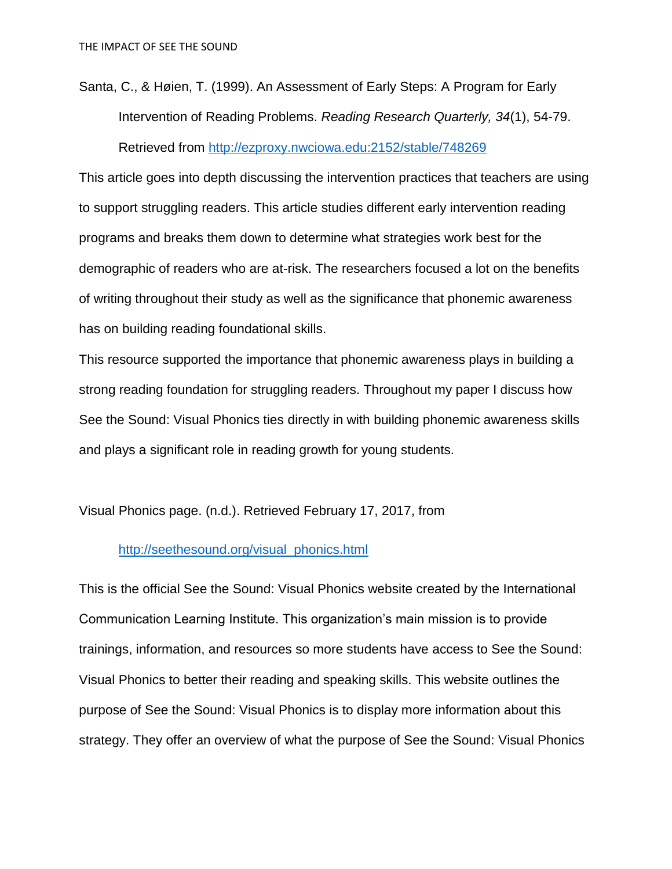Santa, C., & Høien, T. (1999). An Assessment of Early Steps: A Program for Early Intervention of Reading Problems. *Reading Research Quarterly, 34*(1), 54-79. Retrieved from<http://ezproxy.nwciowa.edu:2152/stable/748269>

This article goes into depth discussing the intervention practices that teachers are using to support struggling readers. This article studies different early intervention reading programs and breaks them down to determine what strategies work best for the demographic of readers who are at-risk. The researchers focused a lot on the benefits of writing throughout their study as well as the significance that phonemic awareness has on building reading foundational skills.

This resource supported the importance that phonemic awareness plays in building a strong reading foundation for struggling readers. Throughout my paper I discuss how See the Sound: Visual Phonics ties directly in with building phonemic awareness skills and plays a significant role in reading growth for young students.

Visual Phonics page. (n.d.). Retrieved February 17, 2017, from

# [http://seethesound.org/visual\\_phonics.html](http://seethesound.org/visual_phonics.html)

This is the official See the Sound: Visual Phonics website created by the International Communication Learning Institute. This organization's main mission is to provide trainings, information, and resources so more students have access to See the Sound: Visual Phonics to better their reading and speaking skills. This website outlines the purpose of See the Sound: Visual Phonics is to display more information about this strategy. They offer an overview of what the purpose of See the Sound: Visual Phonics